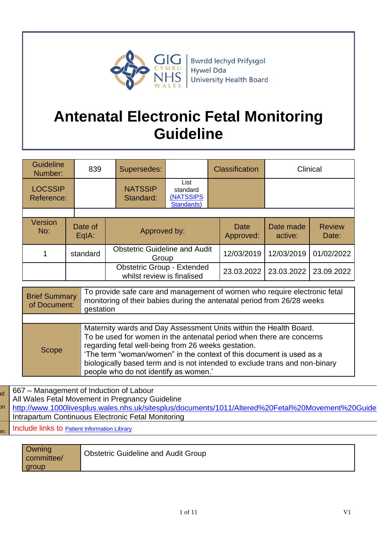

# **Antenatal Electronic Fetal Monitoring Guideline**

| <b>Guideline</b><br>Number:  | 839              | Supersedes:                 | <b>Classification</b>                                           |  | Clinical          |                      |                        |
|------------------------------|------------------|-----------------------------|-----------------------------------------------------------------|--|-------------------|----------------------|------------------------|
| <b>LOCSSIP</b><br>Reference: |                  | <b>NATSSIP</b><br>Standard: | List<br>standard<br><b>(NATSSIPS)</b><br>Standards)             |  |                   |                      |                        |
|                              |                  |                             |                                                                 |  |                   |                      |                        |
| <b>Version</b><br>No:        | Date of<br>EqIA: |                             | Approved by:                                                    |  | Date<br>Approved: | Date made<br>active: | <b>Review</b><br>Date: |
|                              | standard         |                             | <b>Obstetric Guideline and Audit</b><br>Group                   |  | 12/03/2019        | 12/03/2019           | 01/02/2022             |
|                              |                  |                             | <b>Obstetric Group - Extended</b><br>whilst review is finalised |  | 23.03.2022        | 23.03.2022           | 23.09.2022             |

| <b>Brief Summary</b><br>of Document: | To provide safe care and management of women who require electronic fetal<br>monitoring of their babies during the antenatal period from 26/28 weeks<br>gestation                                                                                                                                                                                                                                |  |  |
|--------------------------------------|--------------------------------------------------------------------------------------------------------------------------------------------------------------------------------------------------------------------------------------------------------------------------------------------------------------------------------------------------------------------------------------------------|--|--|
|                                      |                                                                                                                                                                                                                                                                                                                                                                                                  |  |  |
| Scope                                | Maternity wards and Day Assessment Units within the Health Board.<br>To be used for women in the antenatal period when there are concerns<br>regarding fetal well-being from 26 weeks gestation.<br>'The term "woman/women" in the context of this document is used as a<br>biologically based term and is not intended to exclude trans and non-binary<br>people who do not identify as women.' |  |  |

to <mark>a</mark> nc 667 – Management of Induction of Labour All Wales Fetal Movement in Pregnancy Guideline http://www.1000livesplus.wales.nhs.uk/sitesplus/documents/1011/Altered%20Fetal%20Movement%20Guide Intrapartum Continuous Electronic Fetal Monitoring Include links to [Patient Information Library](http://howis.wales.nhs.uk/sitesplus/862/page/60265)

| Owning<br>committee/ | <b>Obstetric Guideline and Audit Group</b> |
|----------------------|--------------------------------------------|
| group                |                                            |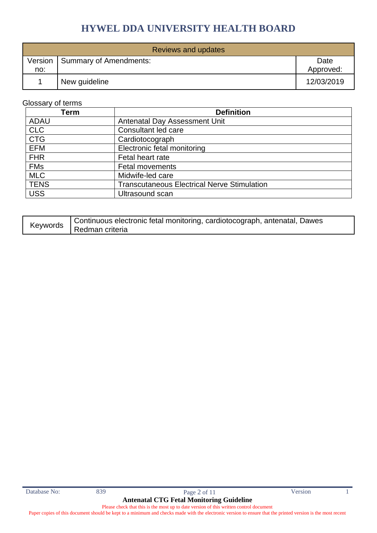| Reviews and updates |                                  |                   |
|---------------------|----------------------------------|-------------------|
| no:                 | Version   Summary of Amendments: | Date<br>Approved: |
|                     | New guideline                    | 12/03/2019        |

### Glossary of terms

| Term        | <b>Definition</b>                                  |
|-------------|----------------------------------------------------|
| <b>ADAU</b> | <b>Antenatal Day Assessment Unit</b>               |
| <b>CLC</b>  | Consultant led care                                |
| <b>CTG</b>  | Cardiotocograph                                    |
| <b>EFM</b>  | Electronic fetal monitoring                        |
| <b>FHR</b>  | Fetal heart rate                                   |
| <b>FMs</b>  | <b>Fetal movements</b>                             |
| <b>MLC</b>  | Midwife-led care                                   |
| <b>TENS</b> | <b>Transcutaneous Electrical Nerve Stimulation</b> |
| <b>USS</b>  | Ultrasound scan                                    |

| Keywords | Continuous electronic fetal monitoring, cardiotocograph, antenatal, Dawes |
|----------|---------------------------------------------------------------------------|
|          | Redman criteria                                                           |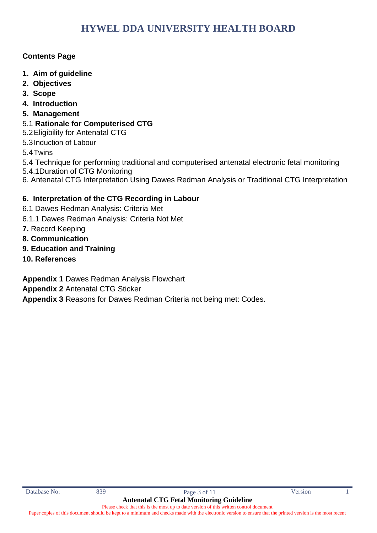### **Contents Page**

- **1. Aim of guideline**
- **2. Objectives**
- **3. Scope**
- **4. Introduction**
- **5. Management**
- 5.1 **Rationale for Computerised CTG**
- 5.2Eligibility for Antenatal CTG
- 5.3Induction of Labour

5.4Twins

- 5.4 Technique for performing traditional and computerised antenatal electronic fetal monitoring
- 5.4.1Duration of CTG Monitoring
- 6. Antenatal CTG Interpretation Using Dawes Redman Analysis or Traditional CTG Interpretation

### **6. Interpretation of the CTG Recording in Labour**

- 6.1 Dawes Redman Analysis: Criteria Met
- 6.1.1 Dawes Redman Analysis: Criteria Not Met
- **7.** Record Keeping
- **8. Communication**
- **9. Education and Training**
- **10. References**

**Appendix 1** Dawes Redman Analysis Flowchart

**Appendix 2** Antenatal CTG Sticker

**Appendix 3** Reasons for Dawes Redman Criteria not being met: Codes.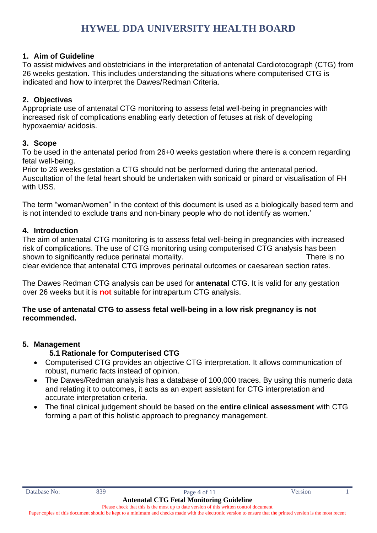### **1. Aim of Guideline**

To assist midwives and obstetricians in the interpretation of antenatal Cardiotocograph (CTG) from 26 weeks gestation. This includes understanding the situations where computerised CTG is indicated and how to interpret the Dawes/Redman Criteria.

### **2. Objectives**

Appropriate use of antenatal CTG monitoring to assess fetal well-being in pregnancies with increased risk of complications enabling early detection of fetuses at risk of developing hypoxaemia/ acidosis.

### **3. Scope**

To be used in the antenatal period from 26+0 weeks gestation where there is a concern regarding fetal well-being.

Prior to 26 weeks gestation a CTG should not be performed during the antenatal period. Auscultation of the fetal heart should be undertaken with sonicaid or pinard or visualisation of FH with USS.

The term "woman/women" in the context of this document is used as a biologically based term and is not intended to exclude trans and non-binary people who do not identify as women.'

### **4. Introduction**

The aim of antenatal CTG monitoring is to assess fetal well-being in pregnancies with increased risk of complications. The use of CTG monitoring using computerised CTG analysis has been shown to significantly reduce perinatal mortality. The state of the state of the state of the state of the state of the state of the state of the state of the state of the state of the state of the state of the state of th clear evidence that antenatal CTG improves perinatal outcomes or caesarean section rates.

The Dawes Redman CTG analysis can be used for **antenatal** CTG. It is valid for any gestation over 26 weeks but it is **not** suitable for intrapartum CTG analysis.

### **The use of antenatal CTG to assess fetal well-being in a low risk pregnancy is not recommended.**

### **5. Management**

- **5.1 Rationale for Computerised CTG**
- Computerised CTG provides an objective CTG interpretation. It allows communication of robust, numeric facts instead of opinion.
- The Dawes/Redman analysis has a database of 100,000 traces. By using this numeric data and relating it to outcomes, it acts as an expert assistant for CTG interpretation and accurate interpretation criteria.
- The final clinical judgement should be based on the **entire clinical assessment** with CTG forming a part of this holistic approach to pregnancy management.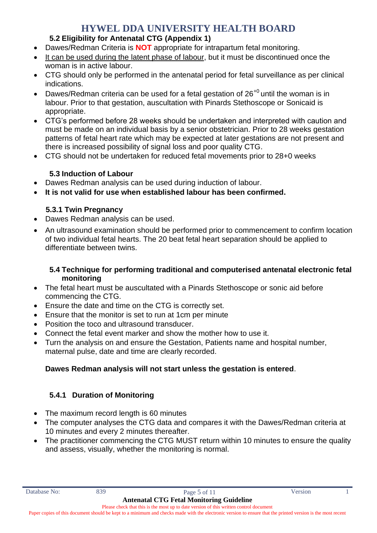### **5.2 Eligibility for Antenatal CTG (Appendix 1)**

- Dawes/Redman Criteria is **NOT** appropriate for intrapartum fetal monitoring.
- It can be used during the latent phase of labour, but it must be discontinued once the woman is in active labour.
- CTG should only be performed in the antenatal period for fetal surveillance as per clinical indications.
- Dawes/Redman criteria can be used for a fetal gestation of  $26^{+0}$  until the woman is in labour. Prior to that gestation, auscultation with Pinards Stethoscope or Sonicaid is appropriate.
- CTG's performed before 28 weeks should be undertaken and interpreted with caution and must be made on an individual basis by a senior obstetrician. Prior to 28 weeks gestation patterns of fetal heart rate which may be expected at later gestations are not present and there is increased possibility of signal loss and poor quality CTG.
- CTG should not be undertaken for reduced fetal movements prior to 28+0 weeks

### **5.3 Induction of Labour**

- Dawes Redman analysis can be used during induction of labour.
- **It is not valid for use when established labour has been confirmed.**

### **5.3.1 Twin Pregnancy**

- Dawes Redman analysis can be used.
- An ultrasound examination should be performed prior to commencement to confirm location of two individual fetal hearts. The 20 beat fetal heart separation should be applied to differentiate between twins.

### **5.4 Technique for performing traditional and computerised antenatal electronic fetal monitoring**

- The fetal heart must be auscultated with a Pinards Stethoscope or sonic aid before commencing the CTG.
- Ensure the date and time on the CTG is correctly set.
- Ensure that the monitor is set to run at 1cm per minute
- Position the toco and ultrasound transducer.
- Connect the fetal event marker and show the mother how to use it.
- Turn the analysis on and ensure the Gestation, Patients name and hospital number, maternal pulse, date and time are clearly recorded.

### **Dawes Redman analysis will not start unless the gestation is entered**.

### **5.4.1 Duration of Monitoring**

- The maximum record length is 60 minutes
- The computer analyses the CTG data and compares it with the Dawes/Redman criteria at 10 minutes and every 2 minutes thereafter.
- The practitioner commencing the CTG MUST return within 10 minutes to ensure the quality and assess, visually, whether the monitoring is normal.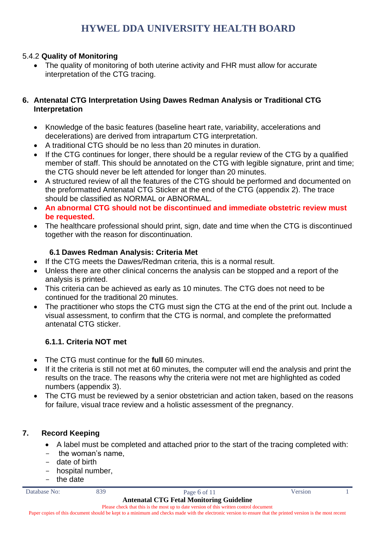### 5.4.2 **Quality of Monitoring**

The quality of monitoring of both uterine activity and FHR must allow for accurate interpretation of the CTG tracing.

### **6. Antenatal CTG Interpretation Using Dawes Redman Analysis or Traditional CTG Interpretation**

- Knowledge of the basic features (baseline heart rate, variability, accelerations and decelerations) are derived from intrapartum CTG interpretation.
- A traditional CTG should be no less than 20 minutes in duration.
- If the CTG continues for longer, there should be a regular review of the CTG by a qualified member of staff. This should be annotated on the CTG with legible signature, print and time; the CTG should never be left attended for longer than 20 minutes.
- A structured review of all the features of the CTG should be performed and documented on the preformatted Antenatal CTG Sticker at the end of the CTG (appendix 2). The trace should be classified as NORMAL or ABNORMAL.
- **An abnormal CTG should not be discontinued and immediate obstetric review must be requested.**
- The healthcare professional should print, sign, date and time when the CTG is discontinued together with the reason for discontinuation.

### **6.1 Dawes Redman Analysis: Criteria Met**

- If the CTG meets the Dawes/Redman criteria, this is a normal result.
- Unless there are other clinical concerns the analysis can be stopped and a report of the analysis is printed.
- This criteria can be achieved as early as 10 minutes. The CTG does not need to be continued for the traditional 20 minutes.
- The practitioner who stops the CTG must sign the CTG at the end of the print out. Include a visual assessment, to confirm that the CTG is normal, and complete the preformatted antenatal CTG sticker.

### **6.1.1. Criteria NOT met**

- The CTG must continue for the **full** 60 minutes.
- If it the criteria is still not met at 60 minutes, the computer will end the analysis and print the results on the trace. The reasons why the criteria were not met are highlighted as coded numbers (appendix 3).
- The CTG must be reviewed by a senior obstetrician and action taken, based on the reasons for failure, visual trace review and a holistic assessment of the pregnancy.

### **7. Record Keeping**

- A label must be completed and attached prior to the start of the tracing completed with:
- the woman's name,
- date of birth
- hospital number,
- the date



Please check that this is the most up to date version of this written control document Paper copies of this document should be kept to a minimum and checks made with the electronic version to ensure that the printed version is the most recent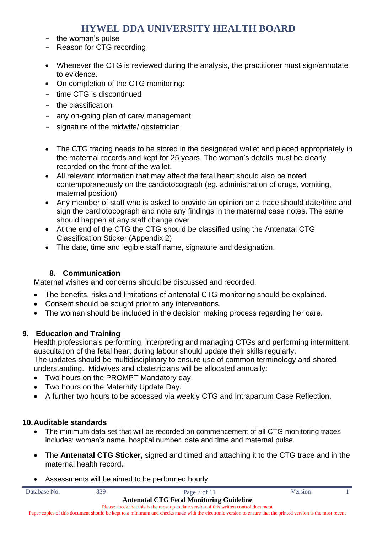- the woman's pulse
- Reason for CTG recording
- Whenever the CTG is reviewed during the analysis, the practitioner must sign/annotate to evidence.
- On completion of the CTG monitoring:
- time CTG is discontinued
- the classification
- any on-going plan of care/ management
- signature of the midwife/ obstetrician
- The CTG tracing needs to be stored in the designated wallet and placed appropriately in the maternal records and kept for 25 years. The woman's details must be clearly recorded on the front of the wallet.
- All relevant information that may affect the fetal heart should also be noted contemporaneously on the cardiotocograph (eg. administration of drugs, vomiting, maternal position)
- Any member of staff who is asked to provide an opinion on a trace should date/time and sign the cardiotocograph and note any findings in the maternal case notes. The same should happen at any staff change over
- At the end of the CTG the CTG should be classified using the Antenatal CTG Classification Sticker (Appendix 2)
- The date, time and legible staff name, signature and designation.

### **8. Communication**

Maternal wishes and concerns should be discussed and recorded.

- The benefits, risks and limitations of antenatal CTG monitoring should be explained.
- Consent should be sought prior to any interventions.
- The woman should be included in the decision making process regarding her care.

### **9. Education and Training**

Health professionals performing, interpreting and managing CTGs and performing intermittent auscultation of the fetal heart during labour should update their skills regularly.

The updates should be multidisciplinary to ensure use of common terminology and shared understanding. Midwives and obstetricians will be allocated annually:

- Two hours on the PROMPT Mandatory day.
- Two hours on the Maternity Update Day.
- A further two hours to be accessed via weekly CTG and Intrapartum Case Reflection.

### **10.Auditable standards**

- The minimum data set that will be recorded on commencement of all CTG monitoring traces includes: woman's name, hospital number, date and time and maternal pulse.
- The **Antenatal CTG Sticker,** signed and timed and attaching it to the CTG trace and in the maternal health record.
- Assessments will be aimed to be performed hourly

| Database No: | 839 | Page 7 of 11                                                                                                                                                | Version |  |
|--------------|-----|-------------------------------------------------------------------------------------------------------------------------------------------------------------|---------|--|
|              |     | <b>Antenatal CTG Fetal Monitoring Guideline</b>                                                                                                             |         |  |
|              |     | Please check that this is the most up to date version of this written control document                                                                      |         |  |
|              |     | Paper copies of this document should be kept to a minimum and checks made with the electronic version to ensure that the printed version is the most recent |         |  |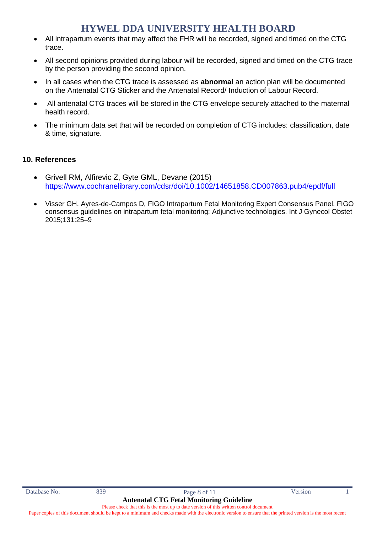- All intrapartum events that may affect the FHR will be recorded, signed and timed on the CTG trace.
- All second opinions provided during labour will be recorded, signed and timed on the CTG trace by the person providing the second opinion.
- In all cases when the CTG trace is assessed as **abnormal** an action plan will be documented on the Antenatal CTG Sticker and the Antenatal Record/ Induction of Labour Record.
- All antenatal CTG traces will be stored in the CTG envelope securely attached to the maternal health record.
- The minimum data set that will be recorded on completion of CTG includes: classification, date & time, signature.

#### **10. References**

- Grivell RM, Alfirevic Z, Gyte GML, Devane (2015) <https://www.cochranelibrary.com/cdsr/doi/10.1002/14651858.CD007863.pub4/epdf/full>
- Visser GH, Ayres-de-Campos D, FIGO Intrapartum Fetal Monitoring Expert Consensus Panel. FIGO consensus guidelines on intrapartum fetal monitoring: Adjunctive technologies. Int J Gynecol Obstet 2015;131:25–9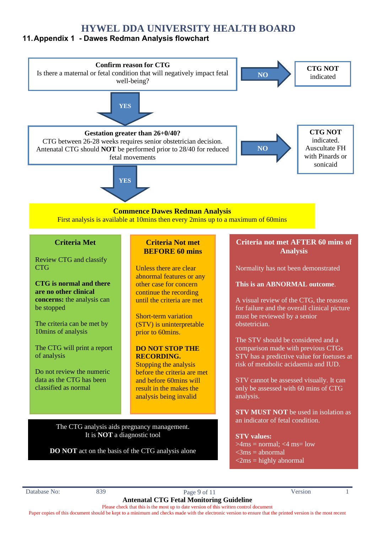### **11.Appendix 1 - Dawes Redman Analysis flowchart**



**DO NOT** act on the basis of the CTG analysis alone

 $>4$ ms = normal: <4 ms= low  $\langle$ 3ms = abnormal  $\langle$ 2ms = highly abnormal

Database No: 839 839 Page 9 of 11 Version 1 **Antenatal CTG Fetal Monitoring Guideline**

Please check that this is the most up to date version of this written control document Paper copies of this document should be kept to a minimum and checks made with the electronic version to ensure that the printed version is the most recent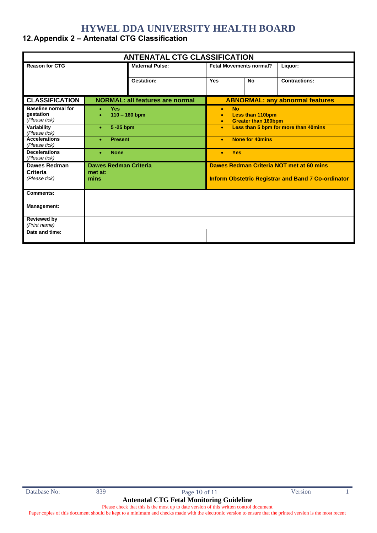### **12.Appendix 2 – Antenatal CTG Classification**

| <b>ANTENATAL CTG CLASSIFICATION</b>                      |                                                         |                                        |                                                                                                           |           |                      |
|----------------------------------------------------------|---------------------------------------------------------|----------------------------------------|-----------------------------------------------------------------------------------------------------------|-----------|----------------------|
| <b>Reason for CTG</b>                                    |                                                         | <b>Maternal Pulse:</b>                 | <b>Fetal Movements normal?</b>                                                                            |           | Liquor:              |
|                                                          |                                                         | Gestation:                             | Yes                                                                                                       | <b>No</b> | <b>Contractions:</b> |
| <b>CLASSIFICATION</b>                                    |                                                         | <b>NORMAL: all features are normal</b> | <b>ABNORMAL: any abnormal features</b>                                                                    |           |                      |
| <b>Baseline normal for</b><br>gestation<br>(Please tick) | <b>Yes</b><br>$\bullet$<br>$110 - 160$ bpm<br>$\bullet$ |                                        | <b>No</b><br>$\bullet$<br><b>Less than 110bpm</b><br>$\bullet$<br><b>Greater than 160bpm</b><br>$\bullet$ |           |                      |
| Variability<br>(Please tick)                             | 5-25 bpm<br>$\bullet$                                   |                                        | Less than 5 bpm for more than 40mins<br>$\bullet$                                                         |           |                      |
| <b>Accelerations</b><br>(Please tick)                    | <b>Present</b><br>٠                                     |                                        | <b>None for 40mins</b><br>$\bullet$                                                                       |           |                      |
| <b>Decelerations</b><br>(Please tick)                    | <b>None</b>                                             |                                        | <b>Yes</b><br>$\bullet$                                                                                   |           |                      |
| <b>Dawes Redman</b><br>Criteria<br>(Please tick)         | <b>Dawes Redman Criteria</b><br>met at:<br>mins         |                                        | Dawes Redman Criteria NOT met at 60 mins<br><b>Inform Obstetric Registrar and Band 7 Co-ordinator</b>     |           |                      |
| Comments:                                                |                                                         |                                        |                                                                                                           |           |                      |
| <b>Management:</b>                                       |                                                         |                                        |                                                                                                           |           |                      |
| <b>Reviewed by</b><br>(Print name)                       |                                                         |                                        |                                                                                                           |           |                      |
| Date and time:                                           |                                                         |                                        |                                                                                                           |           |                      |